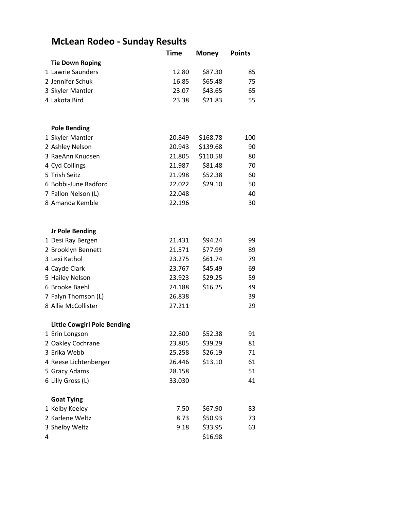## **McLean Rodeo - Sunday Results**

|   |                                    | Time   | <b>Money</b> | <b>Points</b> |
|---|------------------------------------|--------|--------------|---------------|
|   | <b>Tie Down Roping</b>             |        |              |               |
|   | 1 Lawrie Saunders                  | 12.80  | \$87.30      | 85            |
|   | 2 Jennifer Schuk                   | 16.85  | \$65.48      | 75            |
|   | 3 Skyler Mantler                   | 23.07  | \$43.65      | 65            |
|   | 4 Lakota Bird                      | 23.38  | \$21.83      | 55            |
|   | <b>Pole Bending</b>                |        |              |               |
|   | 1 Skyler Mantler                   | 20.849 | \$168.78     | 100           |
|   | 2 Ashley Nelson                    | 20.943 | \$139.68     | 90            |
|   | 3 RaeAnn Knudsen                   | 21.805 | \$110.58     | 80            |
|   | 4 Cyd Collings                     | 21.987 | \$81.48      | 70            |
|   | 5 Trish Seitz                      | 21.998 | \$52.38      | 60            |
|   | 6 Bobbi-June Radford               | 22.022 | \$29.10      | 50            |
|   | 7 Fallon Nelson (L)                | 22.048 |              | 40            |
|   | 8 Amanda Kemble                    | 22.196 |              | 30            |
|   | <b>Jr Pole Bending</b>             |        |              |               |
|   | 1 Desi Ray Bergen                  | 21.431 | \$94.24      | 99            |
|   | 2 Brooklyn Bennett                 | 21.571 | \$77.99      | 89            |
|   | 3 Lexi Kathol                      | 23.275 | \$61.74      | 79            |
|   | 4 Cayde Clark                      | 23.767 | \$45.49      | 69            |
|   | 5 Hailey Nelson                    | 23.923 | \$29.25      | 59            |
|   | 6 Brooke Baehl                     | 24.188 | \$16.25      | 49            |
|   | 7 Falyn Thomson (L)                | 26.838 |              | 39            |
|   | 8 Allie McCollister                | 27.211 |              | 29            |
|   | <b>Little Cowgirl Pole Bending</b> |        |              |               |
|   | 1 Erin Longson                     | 22.800 | \$52.38      | 91            |
|   | 2 Oakley Cochrane                  | 23.805 | \$39.29      | 81            |
|   | 3 Erika Webb                       | 25.258 | \$26.19      | 71            |
|   | 4 Reese Lichtenberger              | 26.446 | \$13.10      | 61            |
|   | 5 Gracy Adams                      | 28.158 |              | 51            |
|   | 6 Lilly Gross (L)                  | 33.030 |              | 41            |
|   | <b>Goat Tying</b>                  |        |              |               |
|   | 1 Kelby Keeley                     | 7.50   | \$67.90      | 83            |
|   | 2 Karlene Weltz                    | 8.73   | \$50.93      | 73            |
|   | 3 Shelby Weltz                     | 9.18   | \$33.95      | 63            |
| 4 |                                    |        | \$16.98      |               |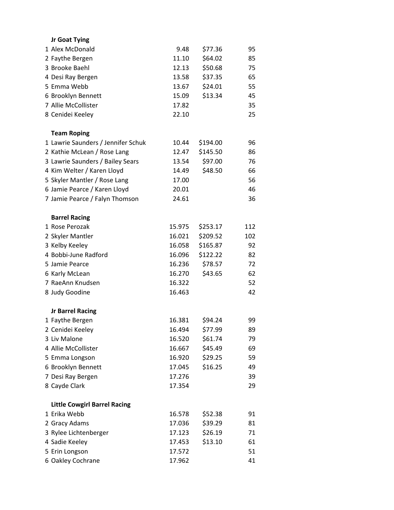| Jr Goat Tying        |                                     |        |          |     |
|----------------------|-------------------------------------|--------|----------|-----|
| 1 Alex McDonald      |                                     | 9.48   | \$77.36  | 95  |
| 2 Faythe Bergen      |                                     | 11.10  | \$64.02  | 85  |
| 3 Brooke Baehl       |                                     | 12.13  | \$50.68  | 75  |
| 4 Desi Ray Bergen    |                                     | 13.58  | \$37.35  | 65  |
| 5 Emma Webb          |                                     | 13.67  | \$24.01  | 55  |
|                      | 6 Brooklyn Bennett                  | 15.09  | \$13.34  | 45  |
| 7 Allie McCollister  |                                     | 17.82  |          | 35  |
| 8 Cenidei Keeley     |                                     | 22.10  |          | 25  |
| <b>Team Roping</b>   |                                     |        |          |     |
|                      | 1 Lawrie Saunders / Jennifer Schuk  | 10.44  | \$194.00 | 96  |
|                      | 2 Kathie McLean / Rose Lang         | 12.47  | \$145.50 | 86  |
|                      | 3 Lawrie Saunders / Bailey Sears    | 13.54  | \$97.00  | 76  |
|                      | 4 Kim Welter / Karen Lloyd          | 14.49  | \$48.50  | 66  |
|                      | 5 Skyler Mantler / Rose Lang        | 17.00  |          | 56  |
|                      | 6 Jamie Pearce / Karen Lloyd        | 20.01  |          | 46  |
|                      | 7 Jamie Pearce / Falyn Thomson      | 24.61  |          | 36  |
| <b>Barrel Racing</b> |                                     |        |          |     |
| 1 Rose Perozak       |                                     | 15.975 | \$253.17 | 112 |
| 2 Skyler Mantler     |                                     | 16.021 | \$209.52 | 102 |
| 3 Kelby Keeley       |                                     | 16.058 | \$165.87 | 92  |
|                      | 4 Bobbi-June Radford                | 16.096 | \$122.22 | 82  |
| 5 Jamie Pearce       |                                     | 16.236 | \$78.57  | 72  |
| 6 Karly McLean       |                                     | 16.270 | \$43.65  | 62  |
|                      | 7 RaeAnn Knudsen                    | 16.322 |          | 52  |
| 8 Judy Goodine       |                                     | 16.463 |          | 42  |
|                      | <b>Jr Barrel Racing</b>             |        |          |     |
| 1 Faythe Bergen      |                                     | 16.381 | \$94.24  | 99  |
| 2 Cenidei Keeley     |                                     | 16.494 | \$77.99  | 89  |
| 3 Liv Malone         |                                     | 16.520 | \$61.74  | 79  |
| 4 Allie McCollister  |                                     | 16.667 | \$45.49  | 69  |
| 5 Emma Longson       |                                     | 16.920 | \$29.25  | 59  |
|                      | 6 Brooklyn Bennett                  | 17.045 | \$16.25  | 49  |
| 7 Desi Ray Bergen    |                                     | 17.276 |          | 39  |
| 8 Cayde Clark        |                                     | 17.354 |          | 29  |
|                      | <b>Little Cowgirl Barrel Racing</b> |        |          |     |
| 1 Erika Webb         |                                     | 16.578 | \$52.38  | 91  |
| 2 Gracy Adams        |                                     | 17.036 | \$39.29  | 81  |
|                      | 3 Rylee Lichtenberger               | 17.123 | \$26.19  | 71  |
| 4 Sadie Keeley       |                                     | 17.453 | \$13.10  | 61  |
| 5 Erin Longson       |                                     | 17.572 |          | 51  |
|                      | 6 Oakley Cochrane                   | 17.962 |          | 41  |